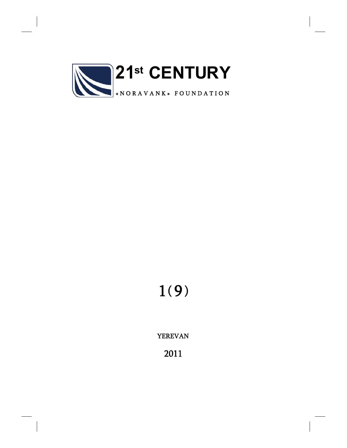# CIVILIZATIONAL FACTORS OF ARMENIAN SEA TRADE DEVELOPMENT AND THE INTERNATIONAL COMPETITION IN THE 17TH CENTURY1

# Eduard L. Danielyan\*

Prior to the great geographical discoveries international trade relations had been developing within the boundaries of the known world or  $\alpha$  ecumene [1] in the Eastern hemisphere, via land, river and sea routes [2]. Participation of various countries in the international trade depended on availability of raw material sources and product lines.

Armenia had been involved in international trade since ancient times, given its important strategic location between the East and West and its civilizational developments [3, pp. 203-227]. As far back as the Neolithic and Chalcolithic, obsidian had been exported from the Armenian Highland to Mesopotamia and regions of the Eastern Mediterranean [4, p. 46]. In the Early Bronze Age Sumerians made use of copper mined in the Armenian Highland [5, pp. 21-25; 6, էջ 140]. In the Bronze and the Early Iron Ages metallurgy in Armenia allowed exporting processed metal products to the countries of the Orient. With high appreciation of Armenia's contribution in the world civilization, David M. Lang wrote in his book *Armenia: Cradle of* Civilization: "The ancient land of Armenia is situated in the high mountains... Although Mesopotamia with its ancient civilizations of Sumeria and Babylon, is usually considered together with Egypt as the main source of civilized life in the modern sense, Armenia too has a claim to rank as one of the cradles of human culture… Again, Armenia has a claim on our attention as one of the principal homes of ancient metallurgy, beginning at least five thousand years ago …" [7, p. 9].

Existence of trade relations of the Armenian kingdoms with Mesopotamia, including the Persian Gulf basin, and Mediterranean countries, are corroborated by references to Aratta<sup>2</sup> in the Sumerian epic of the  $3<sup>rd</sup>$  millennium BC [8], as well as to

\* Doctor of History, Noravank Foundation consultant.

<sup>&</sup>lt;sup>1</sup> A paper presented at the international conference The Discovery of the Quedagh Merchant organized by NAS RA Institute of History and "ANAHIT" Association (October 5, 2010).

<sup>&</sup>lt;sup>2</sup> L. N. Petrosyan proposed Armenian Highland as the location for Aratta, comparing it to the name of Ararat [9, p. 123; cf. 10, pp. 68-70 and 11, pp. 29-32].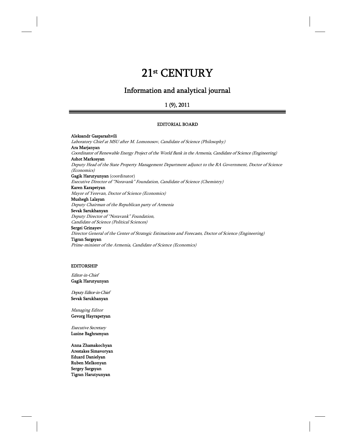### «21st CENTURY», № 1 (9), 2011 **E.Danielyan**

Armanum, Hayasa and Nairi, correspondingly, in the Akkadian, Hittite and Assyrian cuneiform inscriptions of the  $3<sup>rd</sup>$  and  $2<sup>nd</sup>$  millennium BC. It has been testified by the Egyptian, Mittani, Kassite and Assyrian seals and seashells of that period discovered in archeological excavations on the territory of Armenia [12, էջ 64-65; 13, էջ 43-44].

City of Susa (the ancient capital of Elam, and later the winter quarters of the Achaemenids) in the Persian Empire [14, III, 140, V, 49, 53] and the Lydian capital Sardes in western Asia Minor were connected by the Royal Road that passed through southwestern regions of Armenia [14, V, 52]. From ancient times Armenia was connected with lands of Mesopotamia through waterways as well. Herodotus (c.484 BC – c.425 BC) provided information on navigation from Armenia to Babylon by Euphrates and Tigris rivers: "The city (Babylon  $- E.D$ ) is divided into two portions by the river which runs through the midst of it. The river is the Euphrates, a broad, deep, swift stream, which rises in Armenia… the Tigris has its source in Armenia" [14, I, 180, V, 52]. Herodotus describes: "The boats which ply on the river and go to Babylon are round, and all of skins. They make these in Armenia, higher up the stream than Assyria. First they cut frames of willow, then they stretch hides over these for a covering, making as it were a hold; they neither broaden the stern nor narrow the prow, but the boat is round, like a shield. They then fill it with reeds and send it floating down the river with a cargo; and it is for the most part palm (date palm  $-$  *E.D.*) wood casks of wine. Two men standing upright steer the boat, each with a paddle, one drawing it to him, the other thrusting it from him…When they have floated to Babylon and disposed of their cargo, they sell the framework of the boat and all the reeds. The hides are set on the backs of asses, which are then driven back to Armenia, for it is not by any means possible to go upstream by water, by reason of the swiftness of the current. It is for this reason that they make their boats of hides and not of wood. When they have driven their asses back into Armenia, they make boats in the same way" [14, I, 194].

Armenia's strategic location in Western Asia had secured an important role for it in the global trade, especially in the *Silk Road* international system that has been prominent since long ago. Known for its urban development traditions, Armenian kingdoms experienced an upturn distinctly during the reigns of Sarduri I (845 BC – 825 BC), Ishpuini (825 BC – 810 BC), Menua (810 BC - 786 BC), Argishti I (786 BC – 764 BC) and other kings of the Kingdom of Ararat (Urartu) or Van, the Ervandians (VI - III cc. BC) and the Artashesians, particularly, Artashes I (189 BC – 160 BC), king of the Kingdom of Great Armenia, and especially Tigran II the Great (95 BC - 55 BC), King of Kings of the Armenian Empire. Capital cities Van (as well as Erebuni - the present capital Yerevan), Armavir, Artashat, Tigranakert, as well as other newly built cit-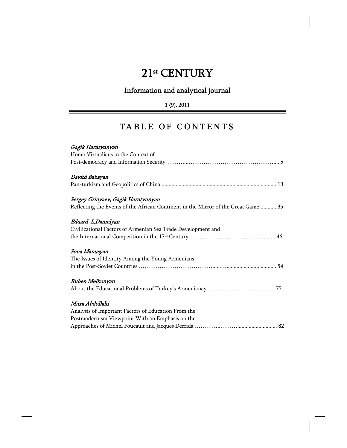ies (in Artsakh, Goghtan and others) also named after Tigran II the Great confirm the high level of the Armenian architecture coming since antiquity. Activities of Tigran II the Great, emanating from millennia-long civilizational developments, expanded over most of the Western Asia that was incorporated in the Armenian Empire [15, էջ 3-12]. Tigran the Great took the control over the *Silk Road* portion from the borders of India to the commercial ports in Cilicia Pedias, Syria and Phoenicia [16, XIV, 5, 2].

The early medieval Armenian educational and scientific system attached much importance to geography and cosmography. Ashkharhatsuyts (Geography) of the  $5<sup>th</sup>$ century, authored by Movses Khorenatsi and later continued and edited by Anania Shirakatsi (Anania of Shirak) in the  $7<sup>th</sup>$  century, informs about navigation on Indian, Greek (Mediterranean), and Vrkanits (Caspian) seas. Ashkharhatsuyts data on natural resources and ethnic composition of India [17, pp. 266, 274, 308-310] confirm the existence of Armenian-Indian relations since old times. In his Cosmography Anania Shirakatsi provides interesting information about navigation by the stars. He writes that the stars called *Yerknibever* (Pole Star) and *Sayl* (the Wain) in Ursa Major constellation were visible pointers for the seafarers [17, էջ 96].

Along the *Silk Road* passing through Armenia such cities as Jugha, Nakhijevan, Karin, Manazkert, Dvin flourished in early Medieval Ages, as well as Ani, capital of the Armenian Bagratids in the  $10<sup>th</sup>-11<sup>th</sup>$  centuries [18, c. 70-71; 19; 20], which were large centers of science, education and culture, crafts [21] and commerce.

Navigation among Armenians developed intensively in the 12<sup>th</sup>-14<sup>th</sup> centuries, when the Armenian Principality and later the Kingdom of Cilicia became a maritime state with navy and commercial fleet that was involved in the sea trade system of the Mediterranean [22; 23, с. 400]. Cilician Armenia was a sea gateway to the European ports for the *Silk Road* coming from China and India. It also introduced progressive changes to the international maritime law.

A number of European countries used to take advantage of *Jus naufragii* (*Jus* litoris) which allowed the lord of a territory to seize the cargo, crew and passengers washed ashore from the wreck of a ship along its coast. This law was also exercised in coastal countries of the Eastern Mediterranean. As Yu. Barseghov mentions, the Byzantine Empire had issued decrees in 1290 and 1320 protecting the shipwrecked Barcelonans, France did the same in 1227 and 1461 for Italians, and later for the Flemish, Dutch and Brabantians, but these were most of the times to no avail and it was impossible to prevent robbery [24, с. 100-101]. In Cilician Armenia the struggle against Jus naufragii was more profound and persistent.

In 1184 Mkhitar Gosh condemned this practice in his *Datastanagirk* (The Law Code), warning to keep away from that "if it happens that our nation possesses the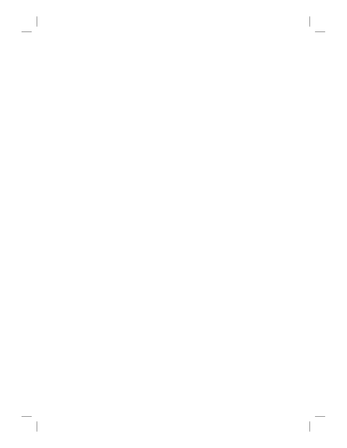sea" [25,  $\zeta$  415]. Yu. Barseghov noted that from partial restrictions of the  $10^{th}$ -11<sup>th</sup> centuries to international agreements and conventions of the  $19<sup>th</sup>-20<sup>th</sup>$  centuries, it

took a millennium to eliminate the *Jus naufragii*. As the researcher notes in this regard, the clauses of Armenian *Datastanagirk* compare favorably to similar legislations of other countries not only by predating them chronologically, but also in terms of progressive contents [24, с. 95-98,103].

The king of the Kingdom of Cilician Armenia Levon II the Magnificent (1198- 1219) struggled against piracy and applied great efforts to eradicate the Jus naufragii. First time the rejection of *Jus naufragii* took the form of an international legal standard in 1201. King Levon abandoned then the "right of shipwreck" in relation to the Republic of Venice, as he did earlier for the Genoese [24, p. 105]. Application of this legal standard in Cilician Armenia was further developed during the reigns of Hethum I (1226-1269) and Levon III (1270-1289) [26, pp. 106, 110, 126; 24, pp. 105- 106]. Cilician Armenia was a law-abiding and reliable partner in sea trade, which is corroborated by numerous references in commercial documents signed in the European and Middle Eastern ports of the Mediterranean.

Armenian seafarer merchants also actively participated in the "Manila trade", establishing business relationship with the Portuguese in the Indian Ocean, especially after the discoveries of Dias and Vasco da Gama. Interestingly, back in the 16<sup>th</sup> century the Portuguese poet Luís de Camões wrote in his *The Lusiad: or, the* Discovery of India: "And those who cultured fair Armenia's lands, Where from the sacred mount two rivers flow, And what was Eden to the Pilgrim shew," referring to the Biblical Paradise, sacred Mount Ararat and headwaters of Euphrates and Tigris rivers [27, p. 118].

The role of Armenians in the "Manila trade" grew in the 17<sup>th</sup> century. Jean-Baptiste Tavernier, a French merchant and traveler, states that at the time "there was no type of commerce that Armenians were not involved in" [28, vi, pp. 158-159, Appendix, pp. 76-77; 29, с. 73-78], whereas François Martin, the Commissary of the French Government mentions that other than the Portuguese, "Indian and Armenian merchants were allowed access to Manila" [30, p. 125]. English documents recorded in 1711-1714 in Madras indicate that the Armenians controlled half of the Indian private trade with Manila and China. Having thoroughly studied the participation of Armenian seafarer merchants in the "Manila trade", Yu. Barseghov has come to a conclusion that in practice, only Armenian merchant ships had access to Manila, because England, France and Netherlands most of the time were at odds with Spain. At the same time, the English, French, Dutch, Portuguese and Spanish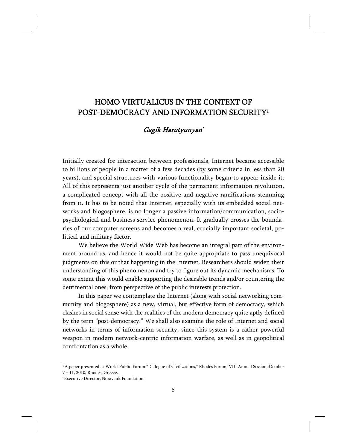made use of services provided by the Armenian merchants. Records made at Fort St. George of Madras indicate that vessels flying Armenian colors traveled from Madras, Surat, Bombay, Calcutta and other ports to Manila. Khoja Minas, Khoja Stepan Mark, Hovhannes Markar were among the owners of the ships traveling between Surat and Manila [31, p. 169; 29].

During the Ottoman–Persian Wars of the  $16<sup>th-17<sup>th</sup></sup>$  centuries the demographic and economic situation in Armenia deteriorated due to both destructive Ottoman raids and the "great deportation" forced by Shah Abbas I of Persia, when the ancient Armenian economic and cultural center Jugha and some other settlements were devastated. In order to enrich his treasury, Shah Abbas embarked on turning the direction of Western Asian trade toward Persian Gulf [32, էջ 325]. Out of his own interests, he awarded priveleges to the Armenian merchants deported from Old Jugha to New Jugha, which was granted a right of autonomy. The problems related to New Jugha have been thoroughly studied by Leo, A. Hovhannisyan, L. Khachikyan, H. Papazyan, V. Baiburtyan<sup>1</sup>, Sh. Khachikian and other researchers.

After establishment of New Jugha, using the silk trade routes the Jugha merchants' or khojas' capital [34] penetrated, on one hand, through Caspian-Volga basin waterways into Russia and further to Europe, and on the other hand, through Iran into India. In both cases sea shipping played an important role.

 In the 16th-17th centuries the sea trade from Baku and Astrakhan was controlled mainly by Armenians [35, էջ 442; 36, с. 274; 37], and was further boosted owing to Armenian merchants of New Jugha as a result of conclusion of the 1667 and 1673 Russian-Armenian trade agreements<sup>2</sup>.

The first signs of competition between the Armenian merchants and European companies surfaced when the Russian Empire, aiming to protect its domestic markets, revoked English East India Company's privileges of maintaining connection with Iran through Russia. In effect, the monopoly to use this route for international trade remained in hands of the Armenian merchants. Meanwhile, Spaniards and Italians competed with the Dutch and English, whereas the neutral political stance of the Armenian merchants rendered an opportunity to cooperate with different parties.

<sup>&</sup>lt;sup>1</sup>V. Baiburtyan, in his studies of the New Jugha Armenian community's role in the 17<sup>th</sup> century trade relations between Iran and European countries deliberated also on the previous periods, particularly the Armenian merchants' silk shipments in 1580 from the Persian Gulf to Spain and Portugal via oceanic routes [33, էջ 31-33]

<sup>2</sup> Sh. Khachikyan revised the traditional view that the Armenian Trading Company of New Jugha was the signatory of the 1667 agreement, and came to a conclusion that Stepan Ramadanski and Grigor Lousikov who signed the agreement were authorized representatives of the New Jugha self-governing bodies [38, էջ 24-25]. Her investigations of genealogical trees of the Armenian nobility settled in New Jugha deserve a special attention, particularly those of Aghazarian family, later named Lazarian, descending from son of a Nakhijevan native Manouk [39, VII]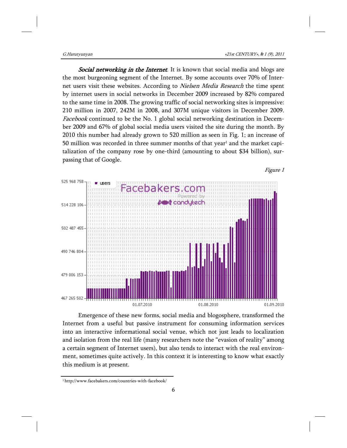Armenian-Dutch trade relations were most successful, leading to strengthening of the Armenian Diaspora community in Amsterdam which is known for its great cultural achievements, particularly in Armenian printing. For instance, thanks to the efforts of the Vanandetsi family, in 1695 the *Sharaknots* (Armenian Hymnals), Hamatarats Ashkharhatsuyts (The World Atlas), History of Armenia by Movses Khorenatsi and other publications were printed [32, էջ 616-617]. The role of Jugha Armenians' capital in the national matters has been remarkable over the centuries. Covering numerous Armenian centers in Iran and India, Armenia, Russia, Italy and elsewhere in Europe, this capital had much greater significance than that of mere benevolence. Several centuries of development of the Armenian scientific, educational and cultural cause among the Armenian communities in India eventually led to maturation of a plan (in the late  $18<sup>th</sup>$  century) devised by Armenian patriots of Madras for liberation of the Motherland, both Western and Eastern Armenia.

According to Constandine Jughayetsi's late  $17<sup>th</sup>$  century textbook Askharhazhoghov girq, Armenians were involved in artisanship and commerce in dozens of Indian trade and crafts centers [32, էջ 335, 337, 447; 38, էջ 11]. The use of "maritime loan" was widespread in the Indian sea trade, information about which has been preserved in relation to the Armenia khojas' capital [38, էջ 161-167].

The English, French and Danish East India Companies initially availed themselves of the opportunities provided by Armenian commercial methods and trade relations, especially in India. They made huge profits as Armenians initially tended to rent European vessels. The 1688 agreement between Khoja Kalantar and London traders' company guaranteed the rights and privileges of the Armenian merchants in India. Over the time Armenians bought and built their own ships, thus becoming competitors to the European merchants. For instance, two high-class merchant ships of Hovhan and Hovsep Markarians, "New Jerusalem" and "Sancta Cruz" fell victim to piracy [40, с. 62-69]. Yu. Barseghov remarked that the centuries-long history of Armenian sea trade is also a dramatic saga of a struggle against European piracy, as the Armenians promoted progressive principles of establishment of free seafaring and open seas policies [41, с. 35-42].

The fate of "Quedagh Merchant" is similar to those of Armenian merchant ships fallen victim to piracy [42, с. 70-73]. Discovery and study of its wreckage off Catalina Island, Dominican Republic [43; 44, pp. 47-49; 45] is a valuable contribution to the assessment of the Armenian legacy in the world history of merchant shipping.

### October, 2010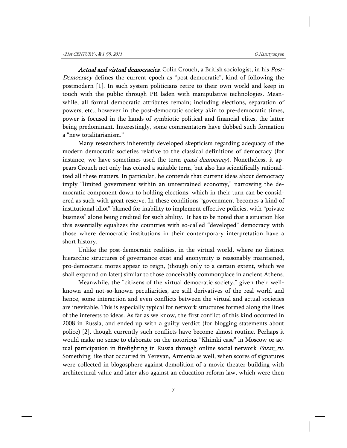## References and Literature

- 1. Дитмар А.Б., Рубежи ойкумены, М., 1973.
- 2. Дитмар <sup>А</sup>.Б., От Птолемея до Колумба, М., 1989.
- 3. Danielyan E.L., Le consequence politique de la position stratégique de l'Arménie dans l'économie du mond ancient et medieval. – "Armeniaca", etudes d'historie et de culture arméniennes, Provence, 2004.
- 4. *Dixon J., Cann J. and Renfrew C.*, Obsidian and the Origins of Trade. «Scientific America», 1968, N218.
- 5. Landsberger B., Assyrische Handelskolonien in Kleinasien aus dem dritten Jahrtausend, Leipzig, 1925.
- 6. Հայ ժողովրդի պատմություն, հ. I, Երևան, 1971:
- 7. David M. Lang, Armenia Cradle of Civilization. London, 1970.
- 8. *Kramer S.N.*, Enmerkar and the Lord of Aratta: a Sumerian Epic Tale of Iraq and Iran, Philadelphia, 1952.
- 9. *Պետրոսյան Լ.Ն.,* «Հայ ժողովրդի փոխադրամիջոցներ», «Հայ ազգաբանություն և բանահյուսություն» ժողովածու, 6, Երևան, 1974:
- 10. Kavoukjan M., Armenia, Subartu and Sumer. The Indo-European Homeland and Ancient Mesopotamia, Montreal, 1987.
- 11. Մովսիսյան <sup>Ա</sup>., Հնագույն պետությունը Հայաստանում. Արատտա, Երևան, 1992:
- 12. Փիլիպոսյան <sup>Ա</sup>., Հայկական լեռնաշխարհի մ.թ.ա. III-I հազ. հուշարձաններից հայտնաբերված ծովախխունջները որպես հնագիտական և ազգագրական հետազոտությունների սկզբնաղբյուր, «Հին Հայաստանի մշակույթը», XI, Երևան, 1998:
- 13. *Փիլիպոսյան Ա.,* Հայաստանի հինարևելյան կնիքները որպես Մերձավոր Արևելքի ռազմաքաղաքական փոխառնչությունների սկզբնաղբյուր, «Հայկական քաղաքակրթությունը հնագույն ժամանակներից մինչև քրիստոնեության ընդունումը» գիտաժողովի հիմնադրույթներ, Երևան, 2000:
- 14. *Herodotus,* with an English transl. by A. D. Godley, in four volumes, in four volumes, 1957-1960.
- 15. *Դանիելյան Է.,* Տիգրան II Մեծի քաղաքակրթական գործունեության ռազմավարությունը, ՊԲՀ, 2006, N2:
- 16. The Geography of Strabo, with an English transl. by H. Jones, in eight volumes, VI, London, 1960.
- 17. Անանիա Շիրակացի, Մատենագրություն, Երևան, 1979:
- 18. Манандян <sup>Я</sup>.А., О торговле и городах Армении в связи с мировой торговлей древних времен (Vв. до н.э.- XVв. н.э.), изд. 2-е, Ереван, 1954.
- 19. Мартиросян <sup>А</sup>., На Великом Шелковом Пути, Ереван, 1998.
- 20. Мартиросян <sup>А</sup>., Мировые пути через Армению и Переднюю Азию по Карте Пейтингера, Ереван, 2003.
- 21. *Աբրահամյան Վ.Ա.,* Արհեստները Հայաստանում IV-XVIIIդդ., Երևան, 1956։
- 22. Ալիշան Ղ., Սիսուան, Վենետիկ, 1885:
- 23. Микаелян Г., История Киликийского Армянского государства, Ереван, 1952.